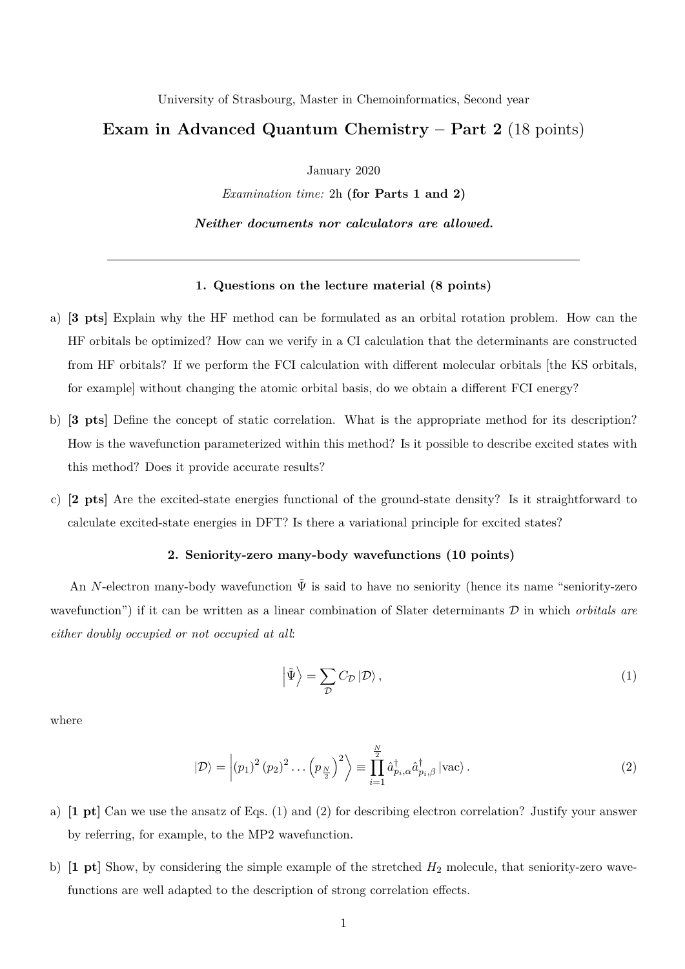University of Strasbourg, Master in Chemoinformatics, Second year

## **Exam in Advanced Quantum Chemistry – Part 2** (18 points)

January 2020

*Examination time:* 2h **(for Parts 1 and 2)**

*Neither documents nor calculators are allowed.*

## **1. Questions on the lecture material (8 points)**

- a) **[3 pts]** Explain why the HF method can be formulated as an orbital rotation problem. How can the HF orbitals be optimized? How can we verify in a CI calculation that the determinants are constructed from HF orbitals? If we perform the FCI calculation with different molecular orbitals [the KS orbitals, for example] without changing the atomic orbital basis, do we obtain a different FCI energy?
- b) **[3 pts]** Define the concept of static correlation. What is the appropriate method for its description? How is the wavefunction parameterized within this method? Is it possible to describe excited states with this method? Does it provide accurate results?
- c) **[2 pts]** Are the excited-state energies functional of the ground-state density? Is it straightforward to calculate excited-state energies in DFT? Is there a variational principle for excited states?

## **2. Seniority-zero many-body wavefunctions (10 points)**

An *N*-electron many-body wavefunction  $\tilde{\Psi}$  is said to have no seniority (hence its name "seniority-zero wavefunction") if it can be written as a linear combination of Slater determinants D in which *orbitals are either doubly occupied or not occupied at all*:

$$
\left| \tilde{\Psi} \right\rangle = \sum_{\mathcal{D}} C_{\mathcal{D}} \left| \mathcal{D} \right\rangle, \tag{1}
$$

where

$$
|\mathcal{D}\rangle = \left| (p_1)^2 (p_2)^2 \dots (p_{\frac{N}{2}})^2 \right\rangle \equiv \prod_{i=1}^{\frac{N}{2}} \hat{a}_{p_i,\alpha}^\dagger \hat{a}_{p_i,\beta}^\dagger |\text{vac}\rangle. \tag{2}
$$

- a) **[1 pt]** Can we use the ansatz of Eqs. (1) and (2) for describing electron correlation? Justify your answer by referring, for example, to the MP2 wavefunction.
- b) **[1 pt]** Show, by considering the simple example of the stretched *H*<sup>2</sup> molecule, that seniority-zero wavefunctions are well adapted to the description of strong correlation effects.